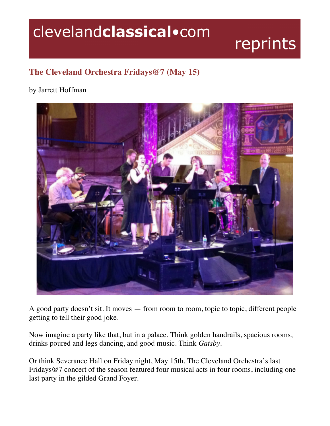## clevelandclassical.com

# reprints

## **The Cleveland Orchestra Fridays@7 (May 15)**

### by Jarrett Hoffman



A good party doesn't sit. It moves — from room to room, topic to topic, different people getting to tell their good joke.

Now imagine a party like that, but in a palace. Think golden handrails, spacious rooms, drinks poured and legs dancing, and good music. Think *Gatsby*.

Or think Severance Hall on Friday night, May 15th. The Cleveland Orchestra's last Fridays@7 concert of the season featured four musical acts in four rooms, including one last party in the gilded Grand Foyer.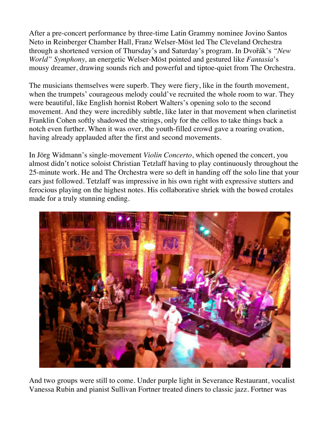After a pre-concert performance by three-time Latin Grammy nominee Jovino Santos Neto in Reinberger Chamber Hall, Franz Welser-Möst led The Cleveland Orchestra through a shortened version of Thursday's and Saturday's program. In Dvořák's *"New World" Symphony,* an energetic Welser-Möst pointed and gestured like *Fantasia*'s mousy dreamer, drawing sounds rich and powerful and tiptoe-quiet from The Orchestra.

The musicians themselves were superb. They were fiery, like in the fourth movement, when the trumpets' courageous melody could've recruited the whole room to war. They were beautiful, like English hornist Robert Walters's opening solo to the second movement. And they were incredibly subtle, like later in that movement when clarinetist Franklin Cohen softly shadowed the strings, only for the cellos to take things back a notch even further. When it was over, the youth-filled crowd gave a roaring ovation, having already applauded after the first and second movements.

In Jörg Widmann's single-movement *Violin Concerto*, which opened the concert, you almost didn't notice soloist Christian Tetzlaff having to play continuously throughout the 25-minute work*.* He and The Orchestra were so deft in handing off the solo line that your ears just followed. Tetzlaff was impressive in his own right with expressive stutters and ferocious playing on the highest notes. His collaborative shriek with the bowed crotales made for a truly stunning ending.



And two groups were still to come. Under purple light in Severance Restaurant, vocalist Vanessa Rubin and pianist Sullivan Fortner treated diners to classic jazz. Fortner was